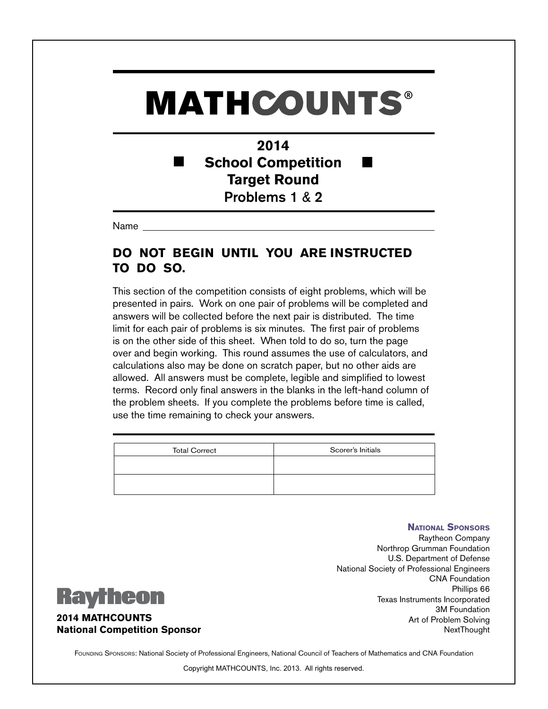### **2014 School Competition Target Round** Problems 1 & 2

Name

### **DO NOT BEGIN UNTIL YOU ARE INSTRUCTED TO DO SO.**

This section of the competition consists of eight problems, which will be presented in pairs. Work on one pair of problems will be completed and answers will be collected before the next pair is distributed. The time limit for each pair of problems is six minutes. The first pair of problems is on the other side of this sheet. When told to do so, turn the page over and begin working. This round assumes the use of calculators, and calculations also may be done on scratch paper, but no other aids are allowed. All answers must be complete, legible and simplified to lowest terms. Record only final answers in the blanks in the left-hand column of the problem sheets. If you complete the problems before time is called, use the time remaining to check your answers.

| <b>Total Correct</b> | Scorer's Initials |
|----------------------|-------------------|
|                      |                   |
|                      |                   |

**National Sponsors** Raytheon Company Northrop Grumman Foundation U.S. Department of Defense National Society of Professional Engineers CNA Foundation Phillips 66 Texas Instruments Incorporated 3M Foundation Art of Problem Solving NextThought



#### **2014 MATHCOUNTS National Competition Sponsor**

FOUNDING SPONSORS: National Society of Professional Engineers, National Council of Teachers of Mathematics and CNA Foundation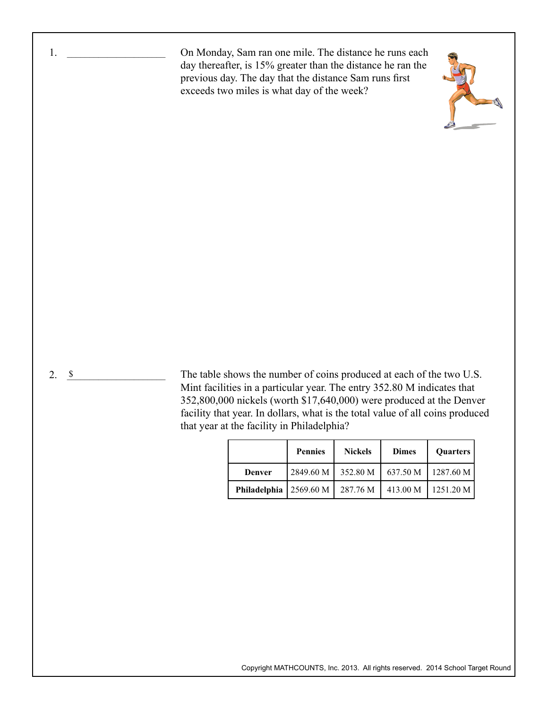2. <u>\$</u> On Monday, Sam ran one mile. The distance he runs each day thereafter, is 15% greater than the distance he ran the previous day. The day that the distance Sam runs first exceeds two miles is what day of the week? The table shows the number of coins produced at each of the two U.S. Mint facilities in a particular year. The entry 352.80 M indicates that 352,800,000 nickels (worth \$17,640,000) were produced at the Denver facility that year. In dollars, what is the total value of all coins produced that year at the facility in Philadelphia? 1. \_\_\_\_\_\_\_\_\_\_\_\_\_\_\_\_\_\_\_\_\_\_

|                            | <b>Pennies</b> | <b>Nickels</b> | <b>Dimes</b> | <b>Ouarters</b> |
|----------------------------|----------------|----------------|--------------|-----------------|
| Denver                     | 2849.60 M      | 352.80 M       | 637.50 M     | 1287.60 M       |
| Philadelphia   $2569.60 M$ |                | 287.76 M       | 413.00 M     | 1251.20 M       |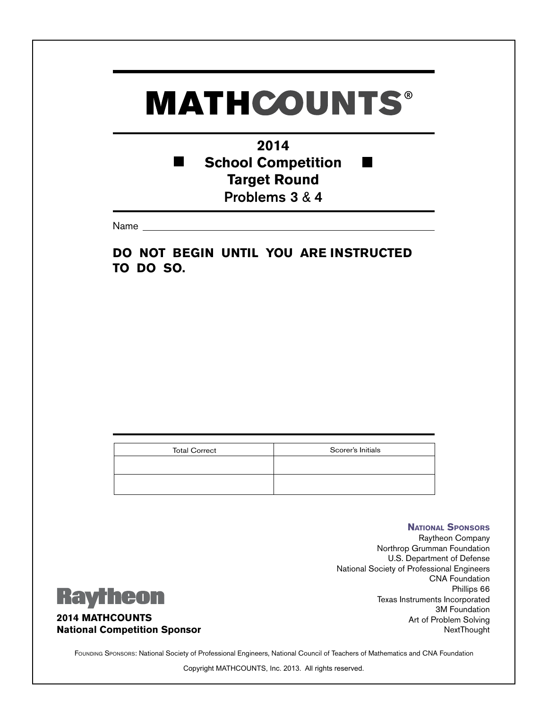### **2014 School Competition** п **Target Round** Problems 3 & 4

Name

**DO NOT BEGIN UNTIL YOU ARE INSTRUCTED TO DO SO.**

| <b>Total Correct</b> | Scorer's Initials |
|----------------------|-------------------|
|                      |                   |
|                      |                   |
|                      |                   |
|                      |                   |

### **Raytheon**

#### **2014 MATHCOUNTS National Competition Sponsor**

Raytheon Company Northrop Grumman Foundation U.S. Department of Defense National Society of Professional Engineers CNA Foundation Phillips 66 Texas Instruments Incorporated 3M Foundation Art of Problem Solving NextThought

**National Sponsors**

Founding Sponsors: National Society of Professional Engineers, National Council of Teachers of Mathematics and CNA Foundation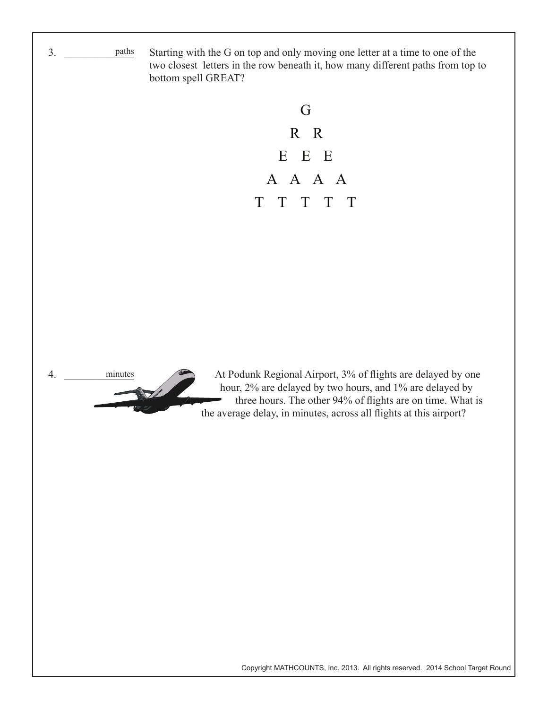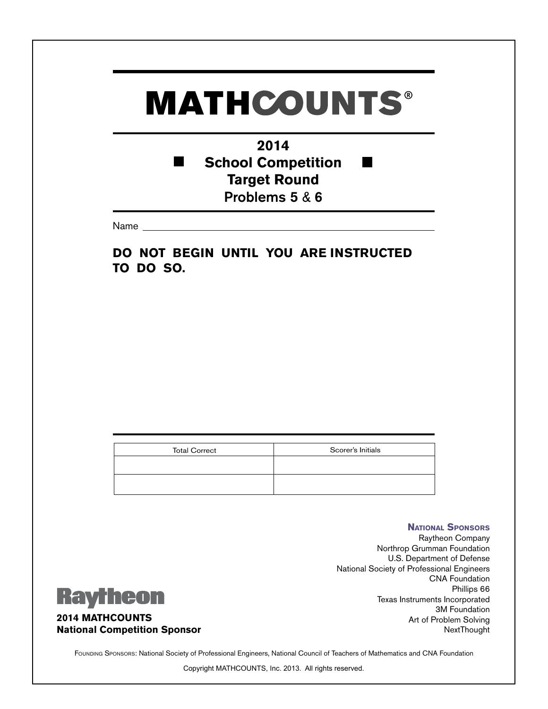### **2014 School Competition** п **Target Round** Problems 5 & 6

Name

**DO NOT BEGIN UNTIL YOU ARE INSTRUCTED TO DO SO.**

| <b>Total Correct</b> | Scorer's Initials |
|----------------------|-------------------|
|                      |                   |
|                      |                   |
|                      |                   |
|                      |                   |

### **Raytheon**

**2014 MATHCOUNTS National Competition Sponsor**

**National Sponsors** Raytheon Company Northrop Grumman Foundation U.S. Department of Defense National Society of Professional Engineers CNA Foundation Phillips 66 Texas Instruments Incorporated 3M Foundation Art of Problem Solving NextThought

Founding Sponsors: National Society of Professional Engineers, National Council of Teachers of Mathematics and CNA Foundation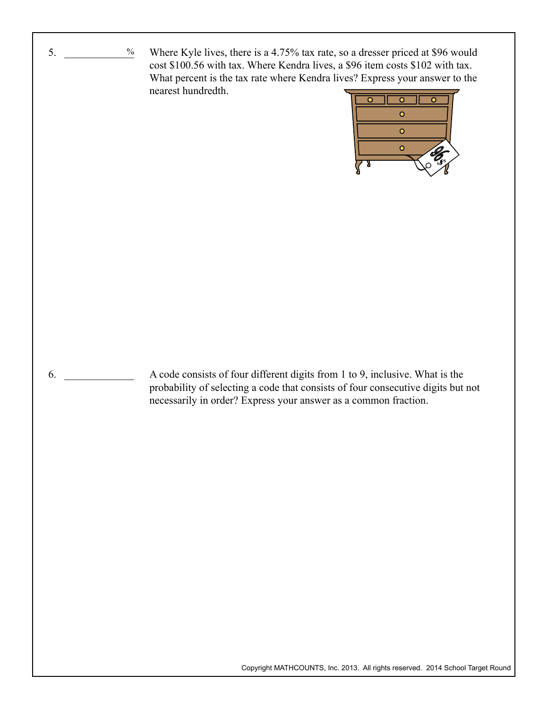Where Kyle lives, there is a 4.75% tax rate, so a dresser priced at \$96 would cost \$100.56 with tax. Where Kendra lives, a \$96 item costs \$102 with tax. What percent is the tax rate where Kendra lives? Express your answer to the nearest hundredth.

 $5.$ 

 $\%$ 

 $6.$ 

![](_page_5_Picture_1.jpeg)

A code consists of four different digits from 1 to 9, inclusive. What is the probability of selecting a code that consists of four consecutive digits but not necessarily in order? Express your answer as a common fraction.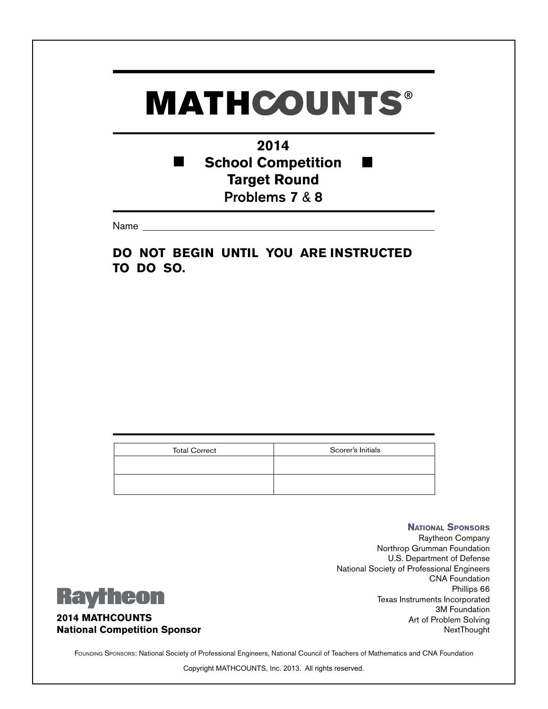### **2014 School Competition** п **Target Round** Problems 7 & 8

Name

**DO NOT BEGIN UNTIL YOU ARE INSTRUCTED TO DO SO.**

| <b>Total Correct</b> | Scorer's Initials |
|----------------------|-------------------|
|                      |                   |
|                      |                   |
|                      |                   |
|                      |                   |

### **Raytheon**

#### **2014 MATHCOUNTS National Competition Sponsor**

Raytheon Company Northrop Grumman Foundation U.S. Department of Defense National Society of Professional Engineers CNA Foundation Phillips 66 Texas Instruments Incorporated 3M Foundation Art of Problem Solving NextThought

**National Sponsors**

Founding Sponsors: National Society of Professional Engineers, National Council of Teachers of Mathematics and CNA Foundation